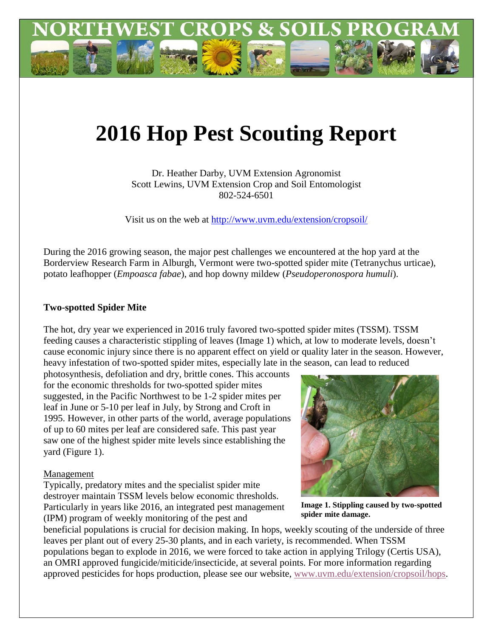

# **2016 Hop Pest Scouting Report**

Dr. Heather Darby, UVM Extension Agronomist Scott Lewins, UVM Extension Crop and Soil Entomologist 802-524-6501

Visit us on the web at<http://www.uvm.edu/extension/cropsoil/>

During the 2016 growing season, the major pest challenges we encountered at the hop yard at the Borderview Research Farm in Alburgh, Vermont were two-spotted spider mite (Tetranychus urticae), potato leafhopper (*Empoasca fabae*), and hop downy mildew (*Pseudoperonospora humuli*).

# **Two-spotted Spider Mite**

The hot, dry year we experienced in 2016 truly favored two-spotted spider mites (TSSM). TSSM feeding causes a characteristic stippling of leaves (Image 1) which, at low to moderate levels, doesn't cause economic injury since there is no apparent effect on yield or quality later in the season. However, heavy infestation of two-spotted spider mites, especially late in the season, can lead to reduced

photosynthesis, defoliation and dry, brittle cones. This accounts for the economic thresholds for two-spotted spider mites suggested, in the Pacific Northwest to be 1-2 spider mites per leaf in June or 5-10 per leaf in July, by Strong and Croft in 1995. However, in other parts of the world, average populations of up to 60 mites per leaf are considered safe. This past year saw one of the highest spider mite levels since establishing the yard (Figure 1).

### Management

Typically, predatory mites and the specialist spider mite destroyer maintain TSSM levels below economic thresholds. Particularly in years like 2016, an integrated pest management (IPM) program of weekly monitoring of the pest and



**Image 1. Stippling caused by two-spotted spider mite damage.**

beneficial populations is crucial for decision making. In hops, weekly scouting of the underside of three leaves per plant out of every 25-30 plants, and in each variety, is recommended. When TSSM populations began to explode in 2016, we were forced to take action in applying Trilogy (Certis USA), an OMRI approved fungicide/miticide/insecticide, at several points. For more information regarding approved pesticides for hops production, please see our website, [www.uvm.edu/extension/cropsoil/hops.](http://www.uvm.edu/extension/cropsoil/hops)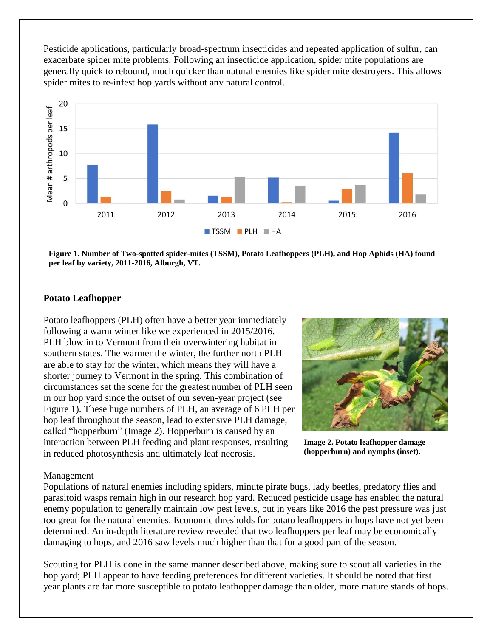Pesticide applications, particularly broad-spectrum insecticides and repeated application of sulfur, can exacerbate spider mite problems. Following an insecticide application, spider mite populations are generally quick to rebound, much quicker than natural enemies like spider mite destroyers. This allows spider mites to re-infest hop yards without any natural control.



**Figure 1. Number of Two-spotted spider-mites (TSSM), Potato Leafhoppers (PLH), and Hop Aphids (HA) found per leaf by variety, 2011-2016, Alburgh, VT.**

## **Potato Leafhopper**

Potato leafhoppers (PLH) often have a better year immediately following a warm winter like we experienced in 2015/2016. PLH blow in to Vermont from their overwintering habitat in southern states. The warmer the winter, the further north PLH are able to stay for the winter, which means they will have a shorter journey to Vermont in the spring. This combination of circumstances set the scene for the greatest number of PLH seen in our hop yard since the outset of our seven-year project (see Figure 1). These huge numbers of PLH, an average of 6 PLH per hop leaf throughout the season, lead to extensive PLH damage, called "hopperburn" (Image 2). Hopperburn is caused by an interaction between PLH feeding and plant responses, resulting in reduced photosynthesis and ultimately leaf necrosis.



**Image 2. Potato leafhopper damage (hopperburn) and nymphs (inset).**

#### Management

Populations of natural enemies including spiders, minute pirate bugs, lady beetles, predatory flies and parasitoid wasps remain high in our research hop yard. Reduced pesticide usage has enabled the natural enemy population to generally maintain low pest levels, but in years like 2016 the pest pressure was just too great for the natural enemies. Economic thresholds for potato leafhoppers in hops have not yet been determined. An in-depth literature review revealed that two leafhoppers per leaf may be economically damaging to hops, and 2016 saw levels much higher than that for a good part of the season.

Scouting for PLH is done in the same manner described above, making sure to scout all varieties in the hop yard; PLH appear to have feeding preferences for different varieties. It should be noted that first year plants are far more susceptible to potato leafhopper damage than older, more mature stands of hops.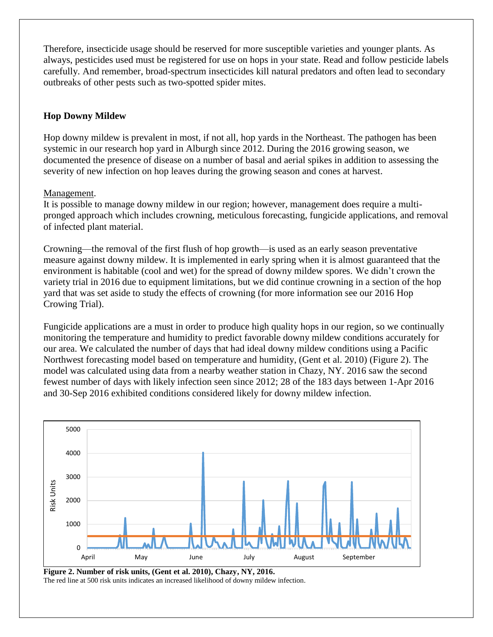Therefore, insecticide usage should be reserved for more susceptible varieties and younger plants. As always, pesticides used must be registered for use on hops in your state. Read and follow pesticide labels carefully. And remember, broad-spectrum insecticides kill natural predators and often lead to secondary outbreaks of other pests such as two-spotted spider mites.

# **Hop Downy Mildew**

Hop downy mildew is prevalent in most, if not all, hop yards in the Northeast. The pathogen has been systemic in our research hop yard in Alburgh since 2012. During the 2016 growing season, we documented the presence of disease on a number of basal and aerial spikes in addition to assessing the severity of new infection on hop leaves during the growing season and cones at harvest.

# Management.

It is possible to manage downy mildew in our region; however, management does require a multipronged approach which includes crowning, meticulous forecasting, fungicide applications, and removal of infected plant material.

Crowning—the removal of the first flush of hop growth—is used as an early season preventative measure against downy mildew. It is implemented in early spring when it is almost guaranteed that the environment is habitable (cool and wet) for the spread of downy mildew spores. We didn't crown the variety trial in 2016 due to equipment limitations, but we did continue crowning in a section of the hop yard that was set aside to study the effects of crowning (for more information see our 2016 Hop Crowing Trial).

Fungicide applications are a must in order to produce high quality hops in our region, so we continually monitoring the temperature and humidity to predict favorable downy mildew conditions accurately for our area. We calculated the number of days that had ideal downy mildew conditions using a Pacific Northwest forecasting model based on temperature and humidity, (Gent et al. 2010) (Figure 2). The model was calculated using data from a nearby weather station in Chazy, NY. 2016 saw the second fewest number of days with likely infection seen since 2012; 28 of the 183 days between 1-Apr 2016 and 30-Sep 2016 exhibited conditions considered likely for downy mildew infection.



**Figure 2. Number of risk units, (Gent et al. 2010), Chazy, NY, 2016.** The red line at 500 risk units indicates an increased likelihood of downy mildew infection.